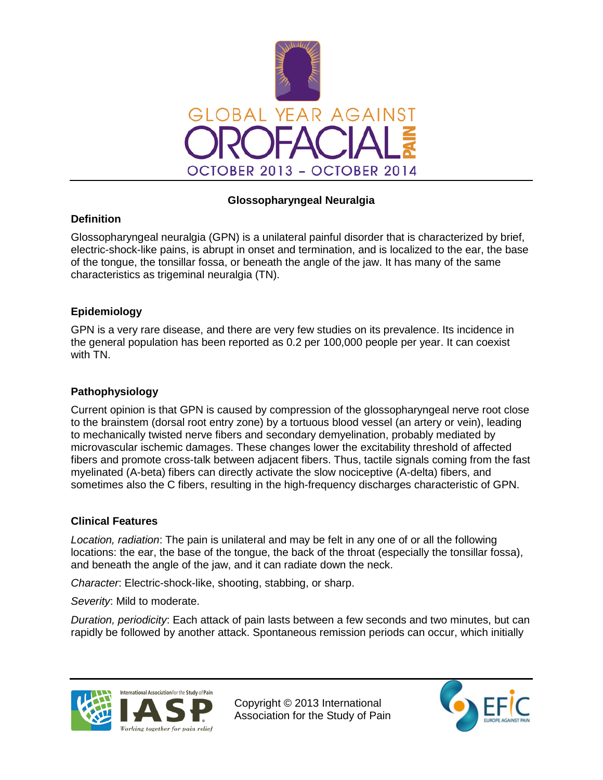

# **Glossopharyngeal Neuralgia**

# **Definition**

Glossopharyngeal neuralgia (GPN) is a unilateral painful disorder that is characterized by brief, electric-shock-like pains, is abrupt in onset and termination, and is localized to the ear, the base of the tongue, the tonsillar fossa, or beneath the angle of the jaw. It has many of the same characteristics as trigeminal neuralgia (TN).

# **Epidemiology**

GPN is a very rare disease, and there are very few studies on its prevalence. Its incidence in the general population has been reported as 0.2 per 100,000 people per year. It can coexist with TN.

### **Pathophysiology**

Current opinion is that GPN is caused by compression of the glossopharyngeal nerve root close to the brainstem (dorsal root entry zone) by a tortuous blood vessel (an artery or vein), leading to mechanically twisted nerve fibers and secondary demyelination, probably mediated by microvascular ischemic damages. These changes lower the excitability threshold of affected fibers and promote cross-talk between adjacent fibers. Thus, tactile signals coming from the fast myelinated (A-beta) fibers can directly activate the slow nociceptive (A-delta) fibers, and sometimes also the C fibers, resulting in the high-frequency discharges characteristic of GPN.

#### **Clinical Features**

*Location, radiation*: The pain is unilateral and may be felt in any one of or all the following locations: the ear, the base of the tongue, the back of the throat (especially the tonsillar fossa), and beneath the angle of the jaw, and it can radiate down the neck.

*Character*: Electric-shock-like, shooting, stabbing, or sharp.

*Severity*: Mild to moderate.

*Duration, periodicity*: Each attack of pain lasts between a few seconds and two minutes, but can rapidly be followed by another attack. Spontaneous remission periods can occur, which initially



Copyright © 2013 International Association for the Study of Pain